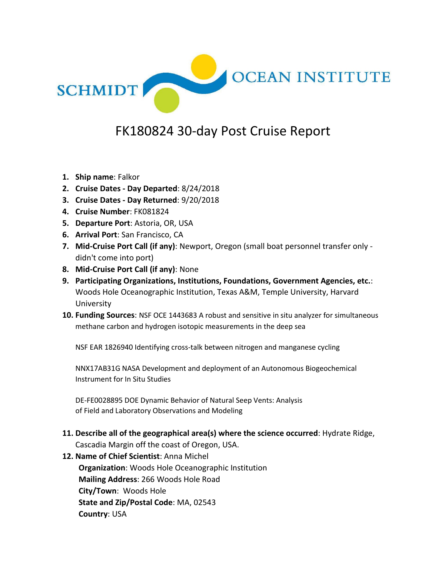

# FK180824 30-day Post Cruise Report

- **1. Ship name**: Falkor
- **2. Cruise Dates - Day Departed**: 8/24/2018
- **3. Cruise Dates - Day Returned**: 9/20/2018
- **4. Cruise Number**: FK081824
- **5. Departure Port**: Astoria, OR, USA
- **6. Arrival Port**: San Francisco, CA
- **7. Mid-Cruise Port Call (if any)**: Newport, Oregon (small boat personnel transfer only didn't come into port)
- **8. Mid-Cruise Port Call (if any)**: None
- **9. Participating Organizations, Institutions, Foundations, Government Agencies, etc.**: Woods Hole Oceanographic Institution, Texas A&M, Temple University, Harvard University
- **10. Funding Sources**: NSF OCE 1443683 A robust and sensitive in situ analyzer for simultaneous methane carbon and hydrogen isotopic measurements in the deep sea

NSF EAR 1826940 Identifying cross-talk between nitrogen and manganese cycling

NNX17AB31G NASA Development and deployment of an Autonomous Biogeochemical Instrument for In Situ Studies

DE-FE0028895 DOE Dynamic Behavior of Natural Seep Vents: Analysis of Field and Laboratory Observations and Modeling

**11. Describe all of the geographical area(s) where the science occurred**: Hydrate Ridge, Cascadia Margin off the coast of Oregon, USA.

**12. Name of Chief Scientist**: Anna Michel

**Organization**: Woods Hole Oceanographic Institution **Mailing Address**: 266 Woods Hole Road **City/Town**: Woods Hole **State and Zip/Postal Code**: MA, 02543 **Country**: USA